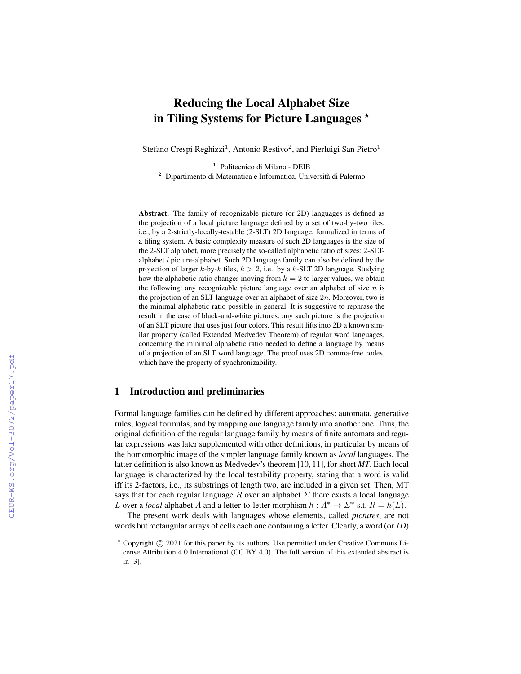# Reducing the Local Alphabet Size in Tiling Systems for Picture Languages  $\star$

Stefano Crespi Reghizzi<sup>1</sup>, Antonio Restivo<sup>2</sup>, and Pierluigi San Pietro<sup>1</sup>

1 Politecnico di Milano - DEIB <sup>2</sup> Dipartimento di Matematica e Informatica, Universita di Palermo `

Abstract. The family of recognizable picture (or 2D) languages is defined as the projection of a local picture language defined by a set of two-by-two tiles, i.e., by a 2-strictly-locally-testable (2-SLT) 2D language, formalized in terms of a tiling system. A basic complexity measure of such 2D languages is the size of the 2-SLT alphabet, more precisely the so-called alphabetic ratio of sizes: 2-SLTalphabet / picture-alphabet. Such 2D language family can also be defined by the projection of larger k-by-k tiles,  $k > 2$ , i.e., by a k-SLT 2D language. Studying how the alphabetic ratio changes moving from  $k = 2$  to larger values, we obtain the following: any recognizable picture language over an alphabet of size  $n$  is the projection of an SLT language over an alphabet of size  $2n$ . Moreover, two is the minimal alphabetic ratio possible in general. It is suggestive to rephrase the result in the case of black-and-white pictures: any such picture is the projection of an SLT picture that uses just four colors. This result lifts into 2D a known similar property (called Extended Medvedev Theorem) of regular word languages, concerning the minimal alphabetic ratio needed to define a language by means of a projection of an SLT word language. The proof uses 2D comma-free codes, which have the property of synchronizability.

## 1 Introduction and preliminaries

Formal language families can be defined by different approaches: automata, generative rules, logical formulas, and by mapping one language family into another one. Thus, the original definition of the regular language family by means of finite automata and regular expressions was later supplemented with other definitions, in particular by means of the homomorphic image of the simpler language family known as *local* languages. The latter definition is also known as Medvedev's theorem [10, 11], for short *MT*. Each local language is characterized by the local testability property, stating that a word is valid iff its 2-factors, i.e., its substrings of length two, are included in a given set. Then, MT says that for each regular language R over an alphabet  $\Sigma$  there exists a local language L over a *local* alphabet  $\Lambda$  and a letter-to-letter morphism  $h : \Lambda^* \to \Sigma^*$  s.t.  $R = h(L)$ .

The present work deals with languages whose elements, called *pictures*, are not words but rectangular arrays of cells each one containing a letter. Clearly, a word (or *1D*)

<sup>\*</sup> Copyright © 2021 for this paper by its authors. Use permitted under Creative Commons License Attribution 4.0 International (CC BY 4.0). The full version of this extended abstract is in [3].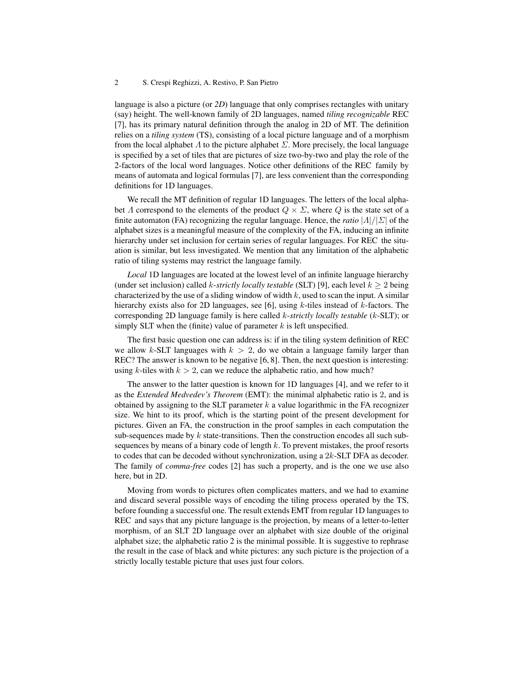#### 2 S. Crespi Reghizzi, A. Restivo, P. San Pietro

language is also a picture (or *2D*) language that only comprises rectangles with unitary (say) height. The well-known family of 2D languages, named *tiling recognizable* REC [7], has its primary natural definition through the analog in 2D of MT. The definition relies on a *tiling system* (TS), consisting of a local picture language and of a morphism from the local alphabet  $\Lambda$  to the picture alphabet  $\Sigma$ . More precisely, the local language is specified by a set of tiles that are pictures of size two-by-two and play the role of the 2-factors of the local word languages. Notice other definitions of the REC family by means of automata and logical formulas [7], are less convenient than the corresponding definitions for 1D languages.

We recall the MT definition of regular 1D languages. The letters of the local alphabet  $\Lambda$  correspond to the elements of the product  $Q \times \Sigma$ , where  $Q$  is the state set of a finite automaton (FA) recognizing the regular language. Hence, the *ratio*  $|\Lambda|/|\Sigma|$  of the alphabet sizes is a meaningful measure of the complexity of the FA, inducing an infinite hierarchy under set inclusion for certain series of regular languages. For REC the situation is similar, but less investigated. We mention that any limitation of the alphabetic ratio of tiling systems may restrict the language family.

*Local* 1D languages are located at the lowest level of an infinite language hierarchy (under set inclusion) called k-*strictly locally testable* (SLT) [9], each level  $k > 2$  being characterized by the use of a sliding window of width  $k$ , used to scan the input. A similar hierarchy exists also for 2D languages, see [6], using  $k$ -tiles instead of  $k$ -factors. The corresponding 2D language family is here called k-*strictly locally testable* (k-SLT); or simply SLT when the (finite) value of parameter  $k$  is left unspecified.

The first basic question one can address is: if in the tiling system definition of REC we allow k-SLT languages with  $k > 2$ , do we obtain a language family larger than REC? The answer is known to be negative [6, 8]. Then, the next question is interesting: using k-tiles with  $k > 2$ , can we reduce the alphabetic ratio, and how much?

The answer to the latter question is known for 1D languages [4], and we refer to it as the *Extended Medvedev's Theorem* (EMT): the minimal alphabetic ratio is 2, and is obtained by assigning to the SLT parameter  $k$  a value logarithmic in the FA recognizer size. We hint to its proof, which is the starting point of the present development for pictures. Given an FA, the construction in the proof samples in each computation the sub-sequences made by  $k$  state-transitions. Then the construction encodes all such subsequences by means of a binary code of length  $k$ . To prevent mistakes, the proof resorts to codes that can be decoded without synchronization, using a  $2k$ -SLT DFA as decoder. The family of *comma-free* codes [2] has such a property, and is the one we use also here, but in 2D.

Moving from words to pictures often complicates matters, and we had to examine and discard several possible ways of encoding the tiling process operated by the TS, before founding a successful one. The result extends EMT from regular 1D languages to REC and says that any picture language is the projection, by means of a letter-to-letter morphism, of an SLT 2D language over an alphabet with size double of the original alphabet size; the alphabetic ratio 2 is the minimal possible. It is suggestive to rephrase the result in the case of black and white pictures: any such picture is the projection of a strictly locally testable picture that uses just four colors.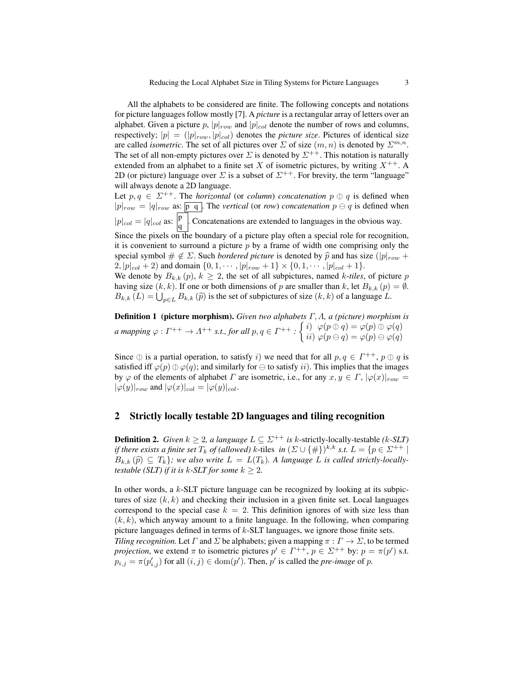All the alphabets to be considered are finite. The following concepts and notations for picture languages follow mostly [7]. A *picture* is a rectangular array of letters over an alphabet. Given a picture p,  $|p|_{row}$  and  $|p|_{col}$  denote the number of rows and columns, respectively;  $|p| = (|p|_{row}, |p|_{col})$  denotes the *picture size*. Pictures of identical size are called *isometric*. The set of all pictures over  $\Sigma$  of size  $(m, n)$  is denoted by  $\Sigma^{m,n}$ . The set of all non-empty pictures over  $\Sigma$  is denoted by  $\Sigma^{++}$ . This notation is naturally extended from an alphabet to a finite set X of isometric pictures, by writing  $X^{++}$ . A 2D (or picture) language over  $\Sigma$  is a subset of  $\Sigma^{++}$ . For brevity, the term "language" will always denote a 2D language.

Let  $p, q \in \Sigma^{++}$ . The *horizontal* (or *column*) *concatenation*  $p \oplus q$  is defined when  $|p|_{row} = |q|_{row}$  as:  $\boxed{p \ q}$ . The *vertical* (or *row*) *concatenation*  $p \ominus q$  is defined when  $|p|_{col} = |q|_{col}$  as:  $\left| \begin{matrix} p \\ q \end{matrix} \right|$  $\frac{P}{q}$ . Concatenations are extended to languages in the obvious way. Since the pixels on the boundary of a picture play often a special role for recognition, it is convenient to surround a picture  $p$  by a frame of width one comprising only the special symbol  $\# \notin \Sigma$ . Such *bordered picture* is denoted by  $\hat{p}$  and has size ( $|p|_{row}$  + 2,  $|p|_{col} + 2$  and domain  $\{0, 1, \dots, |p|_{row} + 1\} \times \{0, 1, \dots, |p|_{col} + 1\}.$ We denote by  $B_{k,k}(p)$ ,  $k \geq 2$ , the set of all subpictures, named k-tiles, of picture p having size  $(k, k)$ . If one or both dimensions of p are smaller than k, let  $B_{k,k}(p) = \emptyset$ .

 $B_{k,k}(L) = \bigcup_{p \in L} B_{k,k}(\hat{p})$  is the set of subpictures of size  $(k, k)$  of a language L.

Definition 1 (picture morphism). *Given two alphabets* Γ, Λ*, a (picture) morphism is*  $a$  mapping  $\varphi: \varGamma^{++} \to \varLambda^{++}$  s.t., for all  $p,q \in \varGamma^{++}$  :  $\left\{ \begin{matrix} i) & \varphi(p \oplus q) = \varphi(p) \oplus \varphi(q) \ i i) & \varphi(p \ominus q) = \varphi(p) \ominus \varphi(q) \end{matrix} \right.$ 

Since  $\oplus$  is a partial operation, to satisfy i) we need that for all  $p, q \in \Gamma^{++}$ ,  $p \oplus q$  is satisfied if  $\wp(n) \oplus \wp(n)$  and similarly for  $\bigcirc$  to satisfy ii). This implies that the images satisfied iff  $\varphi(p) \oplus \varphi(q)$ ; and similarly for  $\ominus$  to satisfy ii). This implies that the images by  $\varphi$  of the elements of alphabet  $\Gamma$  are isometric, i.e., for any  $x, y \in \Gamma$ ,  $|\varphi(x)|_{row} =$  $|\varphi(y)|_{row}$  and  $|\varphi(x)|_{col} = |\varphi(y)|_{col}$ .

### 2 Strictly locally testable 2D languages and tiling recognition

**Definition 2.** *Given*  $k \geq 2$ *, a language*  $L \subseteq \Sigma^{++}$  *is k*-strictly-locally-testable *(k-SLT) if there exists a finite set*  $T_k$  *of (allowed)* k-tiles  $in$   $(\Sigma \cup \{\#\})^{k,k}$  *s.t.*  $L = \{p \in \Sigma^{++} \mid$  $B_{k,k}(\hat{p}) \subseteq T_k$ ; we also write  $L = L(T_k)$ . A language L is called strictly-locally*testable (SLT) if it is k-SLT for some*  $k \geq 2$ *.* 

In other words, a  $k$ -SLT picture language can be recognized by looking at its subpictures of size  $(k, k)$  and checking their inclusion in a given finite set. Local languages correspond to the special case  $k = 2$ . This definition ignores of with size less than  $(k, k)$ , which anyway amount to a finite language. In the following, when comparing picture languages defined in terms of  $k$ -SLT languages, we ignore those finite sets.

*Tiling recognition.* Let  $\Gamma$  and  $\Sigma$  be alphabets; given a mapping  $\pi : \Gamma \to \Sigma$ , to be termed *projection*, we extend  $\pi$  to isometric pictures  $p' \in \Gamma^{++}$ ,  $p \in \Sigma^{++}$  by:  $p = \pi(p')$  s.t.  $p_{i,j} = \pi(p'_{i,j})$  for all  $(i, j) \in \text{dom}(p')$ . Then, p' is called the *pre-image* of p.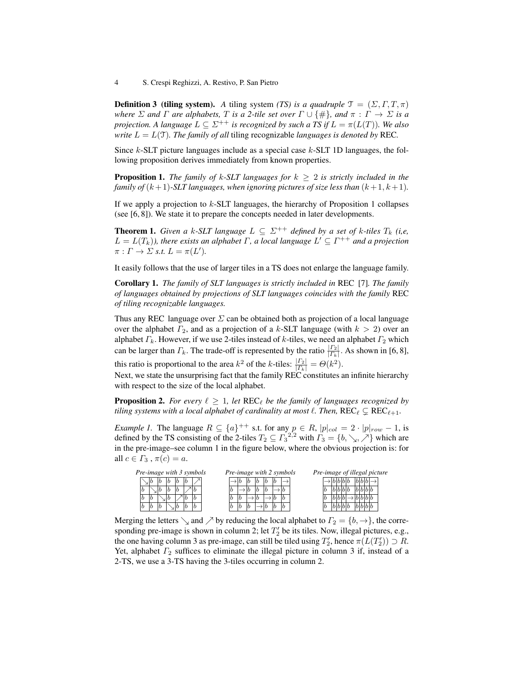**Definition 3 (tiling system).** *A* tiling system *(TS) is a quadruple*  $\mathcal{T} = (\Sigma, \Gamma, T, \pi)$ *where*  $\Sigma$  *and*  $\Gamma$  *are alphabets,*  $T$  *is a* 2-tile set over  $\Gamma \cup \{\#\}$ *, and*  $\pi : \Gamma \to \Sigma$  *is a projection. A language*  $L \subseteq \Sigma^{++}$  *is recognized by such a TS if*  $L = \pi(L(T))$ *. We also write*  $L = L(\mathcal{T})$ *. The family of all* tiling recognizable *languages is denoted by* REC.

Since  $k$ -SLT picture languages include as a special case  $k$ -SLT 1D languages, the following proposition derives immediately from known properties.

**Proposition 1.** *The family of k-SLT languages for*  $k \geq 2$  *is strictly included in the family of*  $(k + 1)$ -*SLT languages, when ignoring pictures of size less than*  $(k + 1, k + 1)$ *.* 

If we apply a projection to  $k$ -SLT languages, the hierarchy of Proposition 1 collapses (see [6, 8]). We state it to prepare the concepts needed in later developments.

**Theorem 1.** *Given a k-SLT language*  $L \subseteq \Sigma^{++}$  *defined by a set of k-tiles*  $T_k$  *(i,e,*  $L = L(T_k)$ ), there exists an alphabet  $\Gamma$ , a local language  $L' \subseteq \Gamma^{++}$  and a projection  $\pi: \Gamma \to \Sigma \text{ s.t. } L = \pi(L').$ 

It easily follows that the use of larger tiles in a TS does not enlarge the language family.

Corollary 1. *The family of SLT languages is strictly included in* REC [7]*. The family of languages obtained by projections of SLT languages coincides with the family* REC *of tiling recognizable languages.*

Thus any REC language over  $\Sigma$  can be obtained both as projection of a local language over the alphabet  $\Gamma_2$ , and as a projection of a k-SLT language (with  $k > 2$ ) over an alphabet  $\Gamma_k$ . However, if we use 2-tiles instead of k-tiles, we need an alphabet  $\Gamma_2$  which can be larger than  $\Gamma_k$ . The trade-off is represented by the ratio  $\frac{|\Gamma_2|}{|\Gamma_k|}$ . As shown in [6, 8],

this ratio is proportional to the area  $k^2$  of the k-tiles:  $\frac{|F_2|}{|F_k|} = \Theta(k^2)$ .

Next, we state the unsurprising fact that the family REC constitutes an infinite hierarchy with respect to the size of the local alphabet.

**Proposition 2.** For every  $\ell \geq 1$ , let  $\text{REC}_{\ell}$  be the family of languages recognized by *tiling systems with a local alphabet of cardinality at most*  $\ell$ *. Then,*  $\text{REC}_{\ell} \subsetneq \text{REC}_{\ell+1}$ *.* 

*Example 1.* The language  $R \subseteq \{a\}^{++}$  s.t. for any  $p \in R$ ,  $|p|_{col} = 2 \cdot |p|_{row} - 1$ , is defined by the TS consisting of the 2-tiles  $T_2 \subseteq \Gamma_3^{2,2}$  with  $\Gamma_3 = \{b, \searrow, \nearrow\}$  which are in the pre-image–see column 1 in the figure below, where the obvious projection is: for all  $c \in \Gamma_3$ ,  $\pi(c) = a$ .

| Pre-image with 3 symbols |   |  |  |  |  |  | Pre-image with 2 symbols |   | Pre-image of illegal picture |   |  |  |  |  |  |  |  |  |  |  |  |  |
|--------------------------|---|--|--|--|--|--|--------------------------|---|------------------------------|---|--|--|--|--|--|--|--|--|--|--|--|--|
|                          |   |  |  |  |  |  |                          |   |                              | h |  |  |  |  |  |  |  |  |  |  |  |  |
|                          | Ð |  |  |  |  |  |                          | D |                              |   |  |  |  |  |  |  |  |  |  |  |  |  |
|                          | Ð |  |  |  |  |  |                          |   |                              |   |  |  |  |  |  |  |  |  |  |  |  |  |
|                          |   |  |  |  |  |  |                          |   | $\boldsymbol{v}$             |   |  |  |  |  |  |  |  |  |  |  |  |  |

Merging the letters  $\searrow$  and  $\nearrow$  by reducing the local alphabet to  $\Gamma_2 = \{b, \rightarrow\}$ , the corresponding pre-image is shown in column 2; let  $T_2'$  be its tiles. Now, illegal pictures, e.g., the one having column 3 as pre-image, can still be tiled using  $T_2'$ , hence  $\pi(L(T_2')) \supset R$ . Yet, alphabet  $\Gamma_2$  suffices to eliminate the illegal picture in column 3 if, instead of a 2-TS, we use a 3-TS having the 3-tiles occurring in column 2.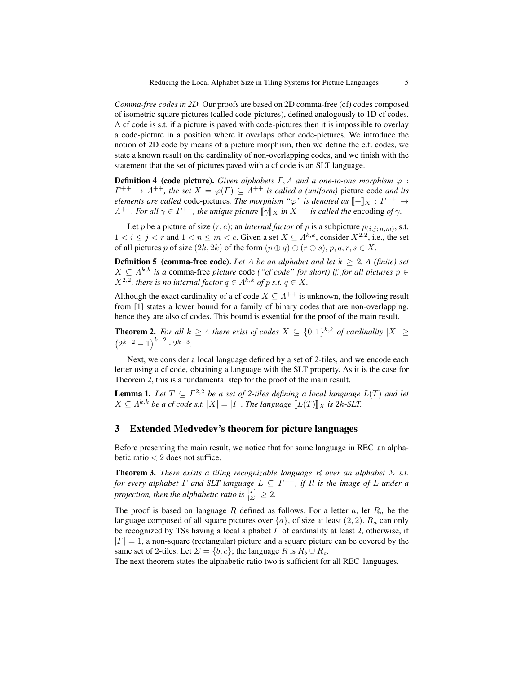*Comma-free codes in 2D.* Our proofs are based on 2D comma-free (cf) codes composed of isometric square pictures (called code-pictures), defined analogously to 1D cf codes. A cf code is s.t. if a picture is paved with code-pictures then it is impossible to overlay a code-picture in a position where it overlaps other code-pictures. We introduce the notion of 2D code by means of a picture morphism, then we define the c.f. codes, we state a known result on the cardinality of non-overlapping codes, and we finish with the statement that the set of pictures paved with a cf code is an SLT language.

**Definition 4 (code picture).** *Given alphabets*  $\Gamma$ ,  $\Lambda$  *and a one-to-one morphism*  $\varphi$ :  $\Gamma^{++} \to \Lambda^{++}$ , the set  $X = \varphi(\Gamma) \subseteq \Lambda^{++}$  is called a (uniform) picture code and its *elements are called* code-pictures. The morphism " $\varphi$ " is denoted as  $[-]_X : \Gamma^{++} \to$ <br> $A^{++}$  For all  $\alpha \in \Gamma^{++}$  the unique picture  $[\![\alpha]\!]_Y$  in  $X^{++}$  is called the encoding of  $\alpha$  $\Lambda^{++}$ *. For all*  $\gamma \in \Gamma^{++}$ *, the unique picture*  $[\![\gamma]\!]_X$  *in*  $X^{++}$  *is called the encoding of*  $\gamma$ *.* 

Let p be a picture of size  $(r, c)$ ; an *internal factor* of p is a subpicture  $p_{(i,j; n,m)}$ , s.t.  $1 < i \leq j < r$  and  $1 < n \leq m < c$ . Given a set  $X \subseteq \Lambda^{k,k}$ , consider  $X^{2,2}$ , i.e., the set of all pictures p of size  $(2k, 2k)$  of the form  $(p \oplus q) \ominus (r \oplus s)$ ,  $p, q, r, s \in X$ .

**Definition 5** (comma-free code). Let  $\Lambda$  be an alphabet and let  $k \geq 2$ . A (finite) set  $X \subseteq \Lambda^{k,k}$  *is a* comma-free *picture* code *("cf code" for short) if, for all pictures*  $p \in$  $X^{2,2}$ , there is no internal factor  $q \in \Lambda^{k,k}$  of p s.t.  $q \in X$ .

Although the exact cardinality of a cf code  $X \subseteq \Lambda^{++}$  is unknown, the following result from [1] states a lower bound for a family of binary codes that are non-overlapping, hence they are also cf codes. This bound is essential for the proof of the main result.

**Theorem 2.** For all  $k \geq 4$  there exist cf codes  $X \subseteq \{0,1\}^{k,k}$  of cardinality  $|X| \geq$  $(2^{k-2}-1)^{k-2} \cdot 2^{k-3}$ .

Next, we consider a local language defined by a set of 2-tiles, and we encode each letter using a cf code, obtaining a language with the SLT property. As it is the case for Theorem 2, this is a fundamental step for the proof of the main result.

**Lemma 1.** Let  $T \subseteq \Gamma^{2,2}$  be a set of 2-tiles defining a local language  $L(T)$  and let  $X \subseteq A^{k,k}$  *be a cf code s.t.*  $|X| = |F|$ *. The language*  $[[L(T)]]_X$  *is 2k-SLT.* 

### 3 Extended Medvedev's theorem for picture languages

Before presenting the main result, we notice that for some language in REC an alphabetic ratio < 2 does not suffice.

**Theorem 3.** *There exists a tiling recognizable language*  $R$  *over an alphabet*  $\Sigma$  *s.t. for every alphabet* Γ *and SLT language*  $L ⊆ \Gamma^{++}$ *, if* R is the image of L under a *projection, then the alphabetic ratio is*  $\frac{| \Gamma |}{| \Sigma |} \geq 2$ .

The proof is based on language R defined as follows. For a letter a, let  $R_a$  be the language composed of all square pictures over  $\{a\}$ , of size at least  $(2, 2)$ .  $R_a$  can only be recognized by TSs having a local alphabet  $\Gamma$  of cardinality at least 2, otherwise, if  $|\Gamma| = 1$ , a non-square (rectangular) picture and a square picture can be covered by the same set of 2-tiles. Let  $\Sigma = \{b, c\}$ ; the language R is  $R_b \cup R_c$ .

The next theorem states the alphabetic ratio two is sufficient for all REC languages.